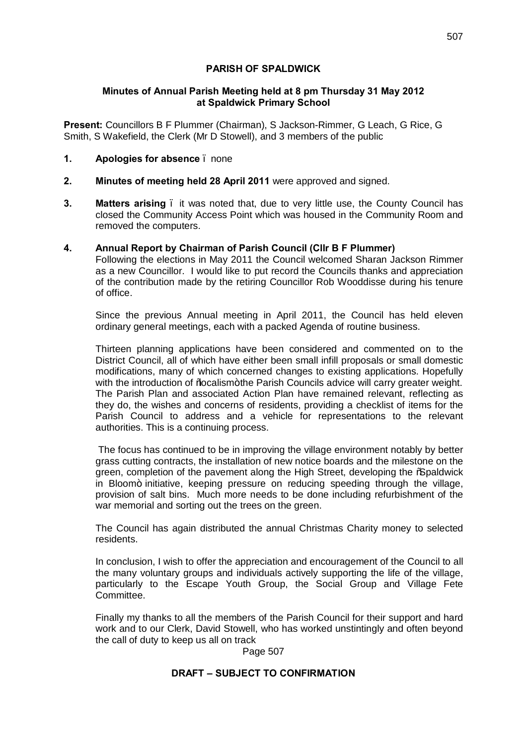## **PARISH OF SPALDWICK**

### **Minutes of Annual Parish Meeting held at 8 pm Thursday 31 May 2012 at Spaldwick Primary School**

**Present:** Councillors B F Plummer (Chairman), S Jackson-Rimmer, G Leach, G Rice, G Smith, S Wakefield, the Clerk (Mr D Stowell), and 3 members of the public

- **1. Apologies for absence**  none
- **2. Minutes of meeting held 28 April 2011** were approved and signed.
- **3. Matters arising**  it was noted that, due to very little use, the County Council has closed the Community Access Point which was housed in the Community Room and removed the computers.
- **4. Annual Report by Chairman of Parish Council (Cllr B F Plummer)**

Following the elections in May 2011 the Council welcomed Sharan Jackson Rimmer as a new Councillor. I would like to put record the Councils thanks and appreciation of the contribution made by the retiring Councillor Rob Wooddisse during his tenure of office.

Since the previous Annual meeting in April 2011, the Council has held eleven ordinary general meetings, each with a packed Agenda of routine business.

Thirteen planning applications have been considered and commented on to the District Council, all of which have either been small infill proposals or small domestic modifications, many of which concerned changes to existing applications. Hopefully with the introduction of % ocalism + the Parish Councils advice will carry greater weight. The Parish Plan and associated Action Plan have remained relevant, reflecting as they do, the wishes and concerns of residents, providing a checklist of items for the Parish Council to address and a vehicle for representations to the relevant authorities. This is a continuing process.

The focus has continued to be in improving the village environment notably by better grass cutting contracts, the installation of new notice boards and the milestone on the green, completion of the pavement along the High Street, developing the % paldwick in Bloom+ initiative, keeping pressure on reducing speeding through the village, provision of salt bins. Much more needs to be done including refurbishment of the war memorial and sorting out the trees on the green.

The Council has again distributed the annual Christmas Charity money to selected residents.

In conclusion, I wish to offer the appreciation and encouragement of the Council to all the many voluntary groups and individuals actively supporting the life of the village, particularly to the Escape Youth Group, the Social Group and Village Fete Committee.

Finally my thanks to all the members of the Parish Council for their support and hard work and to our Clerk, David Stowell, who has worked unstintingly and often beyond the call of duty to keep us all on track

Page 507

# **DRAFT – SUBJECT TO CONFIRMATION**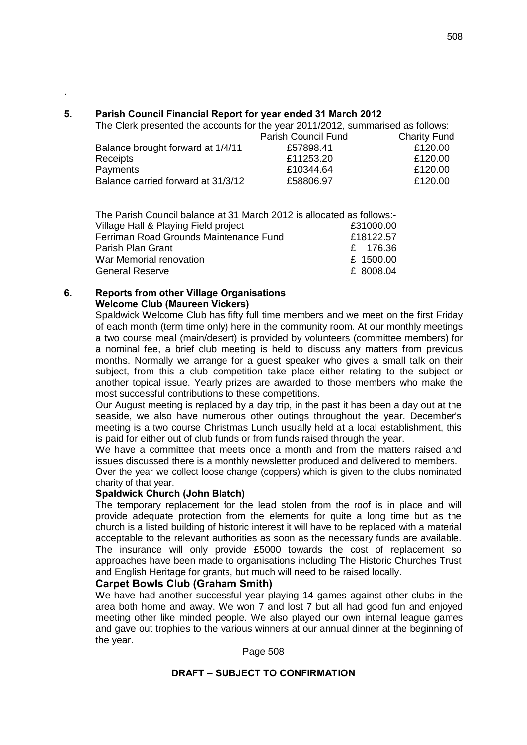# **5. Parish Council Financial Report for year ended 31 March 2012**

The Clerk presented the accounts for the year 2011/2012, summarised as follows:

|           | <b>Charity Fund</b> |
|-----------|---------------------|
| £57898.41 | £120.00             |
| £11253.20 | £120.00             |
| £10344.64 | £120.00             |
| £58806.97 | £120.00             |
|           | Parish Council Fund |

| The Parish Council balance at 31 March 2012 is allocated as follows:- |            |
|-----------------------------------------------------------------------|------------|
| Village Hall & Playing Field project                                  | £31000.00  |
| Ferriman Road Grounds Maintenance Fund                                | £18122.57  |
| Parish Plan Grant                                                     | £ $176.36$ |
| War Memorial renovation                                               | £ 1500.00  |
| <b>General Reserve</b>                                                | £ 8008.04  |

#### **6. Reports from other Village Organisations Welcome Club (Maureen Vickers)**

.

Spaldwick Welcome Club has fifty full time members and we meet on the first Friday of each month (term time only) here in the community room. At our monthly meetings a two course meal (main/desert) is provided by volunteers (committee members) for a nominal fee, a brief club meeting is held to discuss any matters from previous months. Normally we arrange for a guest speaker who gives a small talk on their subject, from this a club competition take place either relating to the subject or another topical issue. Yearly prizes are awarded to those members who make the most successful contributions to these competitions.

Our August meeting is replaced by a day trip, in the past it has been a day out at the seaside, we also have numerous other outings throughout the year. December's meeting is a two course Christmas Lunch usually held at a local establishment, this is paid for either out of club funds or from funds raised through the year.

We have a committee that meets once a month and from the matters raised and issues discussed there is a monthly newsletter produced and delivered to members.

Over the year we collect loose change (coppers) which is given to the clubs nominated charity of that year.

## **Spaldwick Church (John Blatch)**

The temporary replacement for the lead stolen from the roof is in place and will provide adequate protection from the elements for quite a long time but as the church is a listed building of historic interest it will have to be replaced with a material acceptable to the relevant authorities as soon as the necessary funds are available. The insurance will only provide £5000 towards the cost of replacement so approaches have been made to organisations including The Historic Churches Trust and English Heritage for grants, but much will need to be raised locally.

## **Carpet Bowls Club (Graham Smith)**

We have had another successful year playing 14 games against other clubs in the area both home and away. We won 7 and lost 7 but all had good fun and enjoyed meeting other like minded people. We also played our own internal league games and gave out trophies to the various winners at our annual dinner at the beginning of the year.

Page 508

## **DRAFT – SUBJECT TO CONFIRMATION**